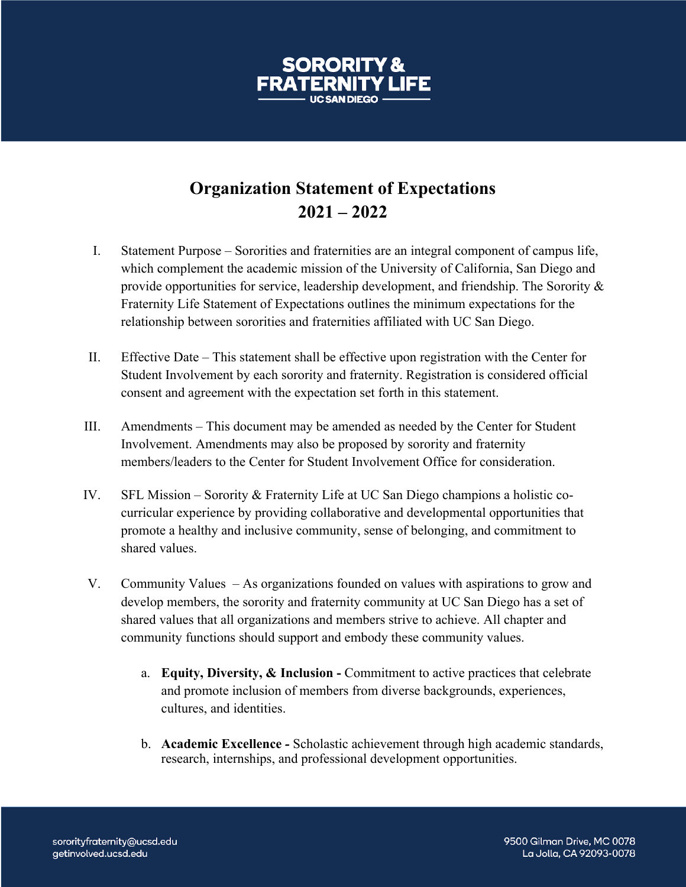## **Organization Statement of Expectations 2021 – 2022**

- I. Statement Purpose Sororities and fraternities are an integral component of campus life, which complement the academic mission of the University of California, San Diego and provide opportunities for service, leadership development, and friendship. The Sorority & Fraternity Life Statement of Expectations outlines the minimum expectations for the relationship between sororities and fraternities affiliated with UC San Diego.
- II. Effective Date This statement shall be effective upon registration with the Center for Student Involvement by each sorority and fraternity. Registration is considered official consent and agreement with the expectation set forth in this statement.
- III. Amendments This document may be amended as needed by the Center for Student Involvement. Amendments may also be proposed by sorority and fraternity members/leaders to the Center for Student Involvement Office for consideration.
- IV. SFL Mission Sorority & Fraternity Life at UC San Diego champions a holistic cocurricular experience by providing collaborative and developmental opportunities that promote a healthy and inclusive community, sense of belonging, and commitment to shared values.
- V. Community Values As organizations founded on values with aspirations to grow and develop members, the sorority and fraternity community at UC San Diego has a set of shared values that all organizations and members strive to achieve. All chapter and community functions should support and embody these community values.
	- a. **Equity, Diversity, & Inclusion -** Commitment to active practices that celebrate and promote inclusion of members from diverse backgrounds, experiences, cultures, and identities.
	- b. **Academic Excellence** *-* Scholastic achievement through high academic standards, research, internships, and professional development opportunities.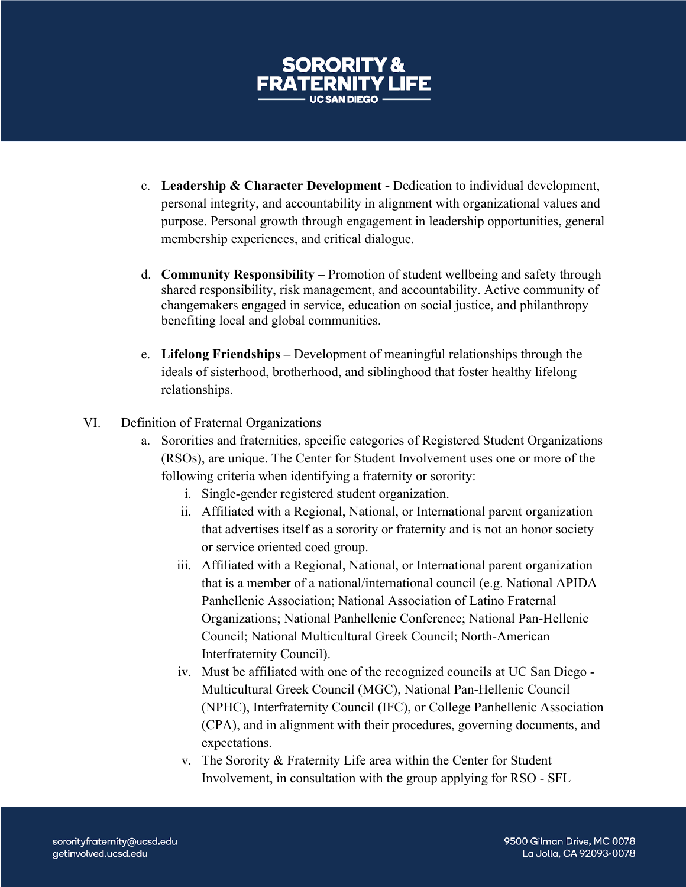

- c. **Leadership & Character Development -** Dedication to individual development, personal integrity, and accountability in alignment with organizational values and purpose. Personal growth through engagement in leadership opportunities, general membership experiences, and critical dialogue.
- d. **Community Responsibility –** Promotion of student wellbeing and safety through shared responsibility, risk management, and accountability. Active community of changemakers engaged in service, education on social justice, and philanthropy benefiting local and global communities.
- e. **Lifelong Friendships –** Development of meaningful relationships through the ideals of sisterhood, brotherhood, and siblinghood that foster healthy lifelong relationships.
- VI. Definition of Fraternal Organizations
	- a. Sororities and fraternities, specific categories of Registered Student Organizations (RSOs), are unique. The Center for Student Involvement uses one or more of the following criteria when identifying a fraternity or sorority:
		- i. Single-gender registered student organization.
		- ii. Affiliated with a Regional, National, or International parent organization that advertises itself as a sorority or fraternity and is not an honor society or service oriented coed group.
		- iii. Affiliated with a Regional, National, or International parent organization that is a member of a national/international council (e.g. National APIDA Panhellenic Association; National Association of Latino Fraternal Organizations; National Panhellenic Conference; National Pan-Hellenic Council; National Multicultural Greek Council; North-American Interfraternity Council).
		- iv. Must be affiliated with one of the recognized councils at UC San Diego Multicultural Greek Council (MGC), National Pan-Hellenic Council (NPHC), Interfraternity Council (IFC), or College Panhellenic Association (CPA), and in alignment with their procedures, governing documents, and expectations.
		- v. The Sorority & Fraternity Life area within the Center for Student Involvement, in consultation with the group applying for RSO - SFL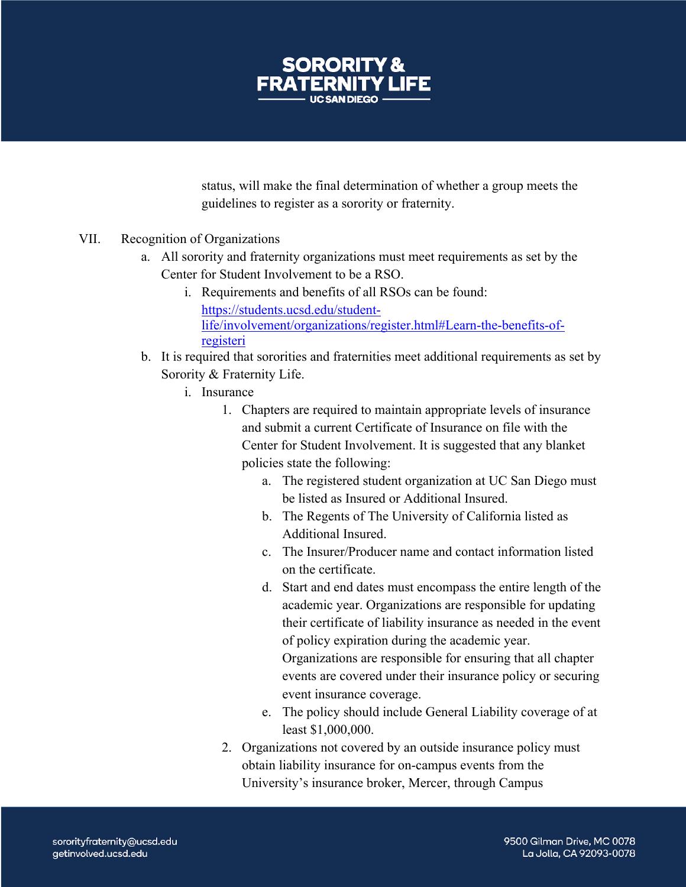

status, will make the final determination of whether a group meets the guidelines to register as a sorority or fraternity.

- VII. Recognition of Organizations
	- a. All sorority and fraternity organizations must meet requirements as set by the Center for Student Involvement to be a RSO.
		- i. Requirements and benefits of all RSOs can be found: https://students.ucsd.edu/studentlife/involvement/organizations/register.html#Learn-the-benefits-ofregisteri
	- b. It is required that sororities and fraternities meet additional requirements as set by Sorority & Fraternity Life.
		- i. Insurance
			- 1. Chapters are required to maintain appropriate levels of insurance and submit a current Certificate of Insurance on file with the Center for Student Involvement. It is suggested that any blanket policies state the following:
				- a. The registered student organization at UC San Diego must be listed as Insured or Additional Insured.
				- b. The Regents of The University of California listed as Additional Insured.
				- c. The Insurer/Producer name and contact information listed on the certificate.
				- d. Start and end dates must encompass the entire length of the academic year. Organizations are responsible for updating their certificate of liability insurance as needed in the event of policy expiration during the academic year. Organizations are responsible for ensuring that all chapter events are covered under their insurance policy or securing event insurance coverage.
				- e. The policy should include General Liability coverage of at least \$1,000,000.
			- 2. Organizations not covered by an outside insurance policy must obtain liability insurance for on-campus events from the University's insurance broker, Mercer, through Campus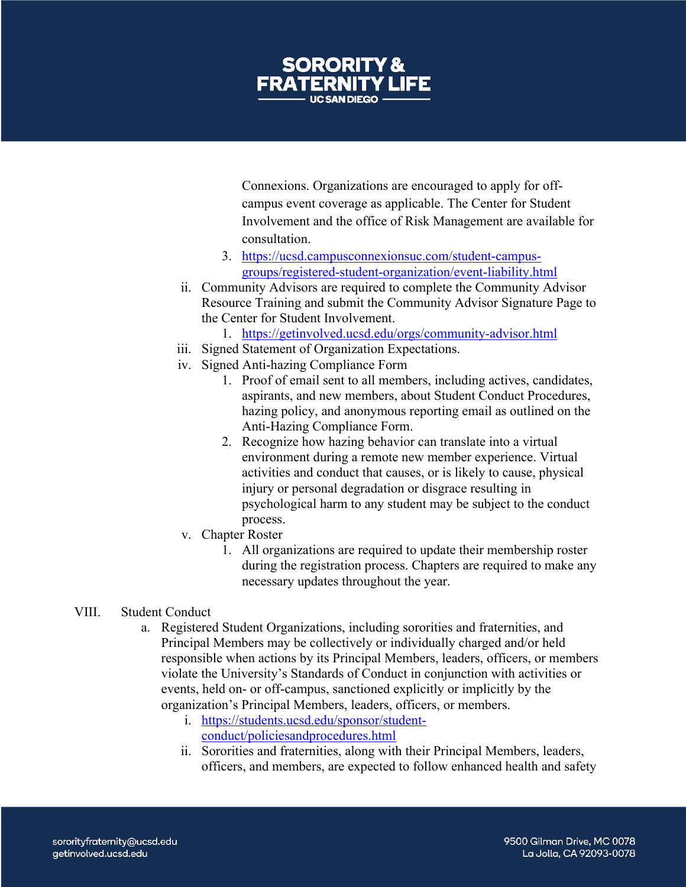

Connexions. Organizations are encouraged to apply for offcampus event coverage as applicable. The Center for Student Involvement and the office of Risk Management are available for consultation.

- 3. https://ucsd.campusconnexionsuc.com/student-campusgroups/registered-student-organization/event-liability.html
- ii. Community Advisors are required to complete the Community Advisor Resource Training and submit the Community Advisor Signature Page to the Center for Student Involvement.
	- 1. https://getinvolved.ucsd.edu/orgs/community-advisor.html
- iii. Signed Statement of Organization Expectations.
- iv. Signed Anti-hazing Compliance Form
	- 1. Proof of email sent to all members, including actives, candidates, aspirants, and new members, about Student Conduct Procedures, hazing policy, and anonymous reporting email as outlined on the Anti-Hazing Compliance Form.
	- 2. Recognize how hazing behavior can translate into a virtual environment during a remote new member experience. Virtual activities and conduct that causes, or is likely to cause, physical injury or personal degradation or disgrace resulting in psychological harm to any student may be subject to the conduct process.
- v. Chapter Roster
	- 1. All organizations are required to update their membership roster during the registration process. Chapters are required to make any necessary updates throughout the year.
- VIII. Student Conduct
	- a. Registered Student Organizations, including sororities and fraternities, and Principal Members may be collectively or individually charged and/or held responsible when actions by its Principal Members, leaders, officers, or members violate the University's Standards of Conduct in conjunction with activities or events, held on- or off-campus, sanctioned explicitly or implicitly by the organization's Principal Members, leaders, officers, or members.
		- i. https://students.ucsd.edu/sponsor/studentconduct/policiesandprocedures.html
		- ii. Sororities and fraternities, along with their Principal Members, leaders, officers, and members, are expected to follow enhanced health and safety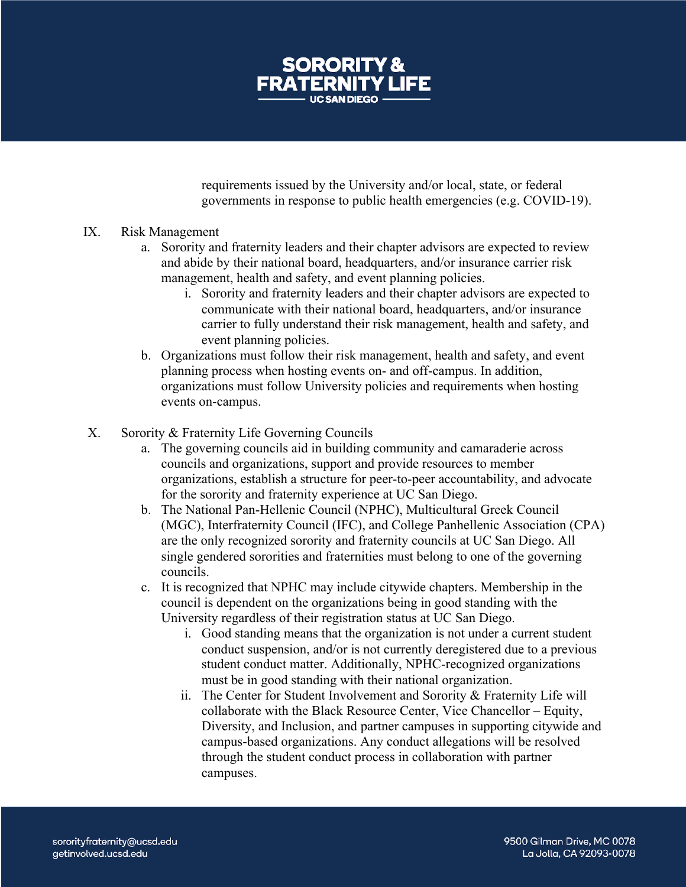

requirements issued by the University and/or local, state, or federal governments in response to public health emergencies (e.g. COVID-19).

## IX. Risk Management

- a. Sorority and fraternity leaders and their chapter advisors are expected to review and abide by their national board, headquarters, and/or insurance carrier risk management, health and safety, and event planning policies.
	- i. Sorority and fraternity leaders and their chapter advisors are expected to communicate with their national board, headquarters, and/or insurance carrier to fully understand their risk management, health and safety, and event planning policies.
- b. Organizations must follow their risk management, health and safety, and event planning process when hosting events on- and off-campus. In addition, organizations must follow University policies and requirements when hosting events on-campus.
- X. Sorority & Fraternity Life Governing Councils
	- a. The governing councils aid in building community and camaraderie across councils and organizations, support and provide resources to member organizations, establish a structure for peer-to-peer accountability, and advocate for the sorority and fraternity experience at UC San Diego.
	- b. The National Pan-Hellenic Council (NPHC), Multicultural Greek Council (MGC), Interfraternity Council (IFC), and College Panhellenic Association (CPA) are the only recognized sorority and fraternity councils at UC San Diego. All single gendered sororities and fraternities must belong to one of the governing councils.
	- c. It is recognized that NPHC may include citywide chapters. Membership in the council is dependent on the organizations being in good standing with the University regardless of their registration status at UC San Diego.
		- i. Good standing means that the organization is not under a current student conduct suspension, and/or is not currently deregistered due to a previous student conduct matter. Additionally, NPHC-recognized organizations must be in good standing with their national organization.
		- ii. The Center for Student Involvement and Sorority & Fraternity Life will collaborate with the Black Resource Center, Vice Chancellor – Equity, Diversity, and Inclusion, and partner campuses in supporting citywide and campus-based organizations. Any conduct allegations will be resolved through the student conduct process in collaboration with partner campuses.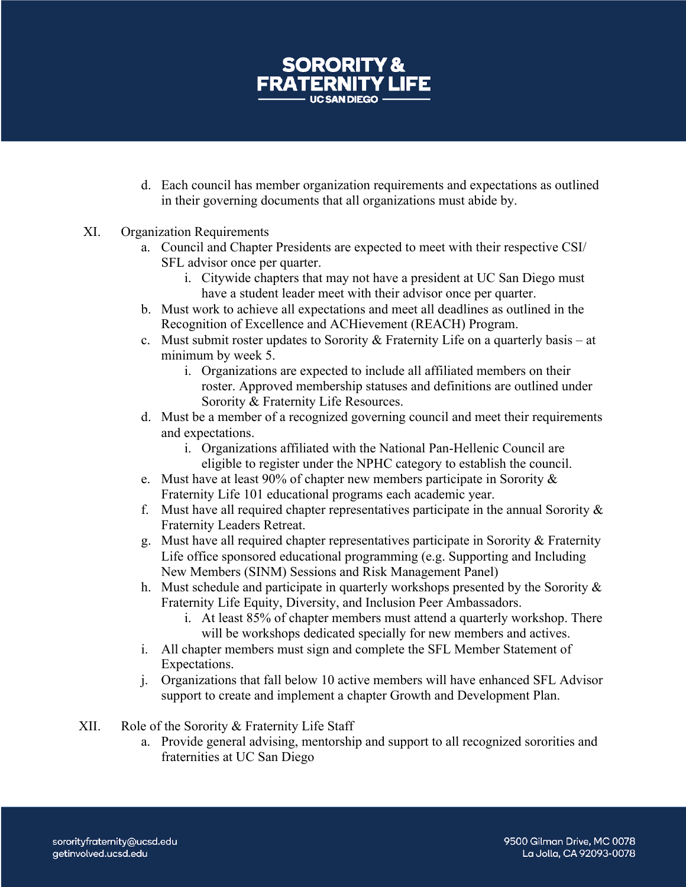

- d. Each council has member organization requirements and expectations as outlined in their governing documents that all organizations must abide by.
- XI. Organization Requirements
	- a. Council and Chapter Presidents are expected to meet with their respective CSI/ SFL advisor once per quarter.
		- i. Citywide chapters that may not have a president at UC San Diego must have a student leader meet with their advisor once per quarter.
	- b. Must work to achieve all expectations and meet all deadlines as outlined in the Recognition of Excellence and ACHievement (REACH) Program.
	- c. Must submit roster updates to Sorority & Fraternity Life on a quarterly basis at minimum by week 5.
		- i. Organizations are expected to include all affiliated members on their roster. Approved membership statuses and definitions are outlined under Sorority & Fraternity Life Resources.
	- d. Must be a member of a recognized governing council and meet their requirements and expectations.
		- i. Organizations affiliated with the National Pan-Hellenic Council are eligible to register under the NPHC category to establish the council.
	- e. Must have at least 90% of chapter new members participate in Sorority & Fraternity Life 101 educational programs each academic year.
	- f. Must have all required chapter representatives participate in the annual Sorority  $\&$ Fraternity Leaders Retreat.
	- g. Must have all required chapter representatives participate in Sorority & Fraternity Life office sponsored educational programming (e.g. Supporting and Including New Members (SINM) Sessions and Risk Management Panel)
	- h. Must schedule and participate in quarterly workshops presented by the Sorority & Fraternity Life Equity, Diversity, and Inclusion Peer Ambassadors.
		- i. At least 85% of chapter members must attend a quarterly workshop. There will be workshops dedicated specially for new members and actives.
	- i. All chapter members must sign and complete the SFL Member Statement of Expectations.
	- j. Organizations that fall below 10 active members will have enhanced SFL Advisor support to create and implement a chapter Growth and Development Plan.
- XII. Role of the Sorority & Fraternity Life Staff
	- a. Provide general advising, mentorship and support to all recognized sororities and fraternities at UC San Diego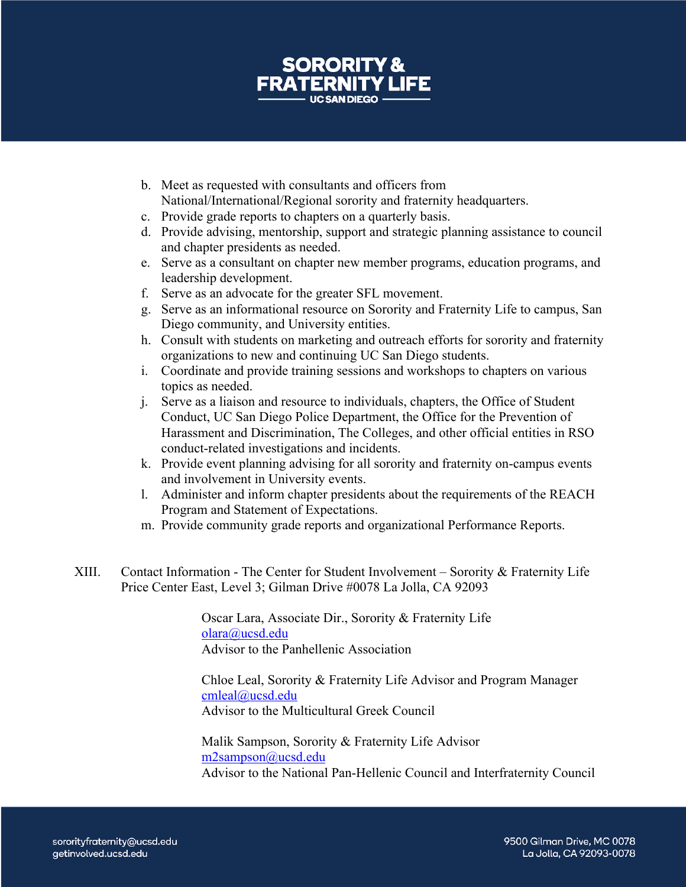

- b. Meet as requested with consultants and officers from National/International/Regional sorority and fraternity headquarters.
- c. Provide grade reports to chapters on a quarterly basis.
- d. Provide advising, mentorship, support and strategic planning assistance to council and chapter presidents as needed.
- e. Serve as a consultant on chapter new member programs, education programs, and leadership development.
- f. Serve as an advocate for the greater SFL movement.
- g. Serve as an informational resource on Sorority and Fraternity Life to campus, San Diego community, and University entities.
- h. Consult with students on marketing and outreach efforts for sorority and fraternity organizations to new and continuing UC San Diego students.
- i. Coordinate and provide training sessions and workshops to chapters on various topics as needed.
- j. Serve as a liaison and resource to individuals, chapters, the Office of Student Conduct, UC San Diego Police Department, the Office for the Prevention of Harassment and Discrimination, The Colleges, and other official entities in RSO conduct-related investigations and incidents.
- k. Provide event planning advising for all sorority and fraternity on-campus events and involvement in University events.
- l. Administer and inform chapter presidents about the requirements of the REACH Program and Statement of Expectations.
- m. Provide community grade reports and organizational Performance Reports.
- XIII. Contact Information The Center for Student Involvement Sorority & Fraternity Life Price Center East, Level 3; Gilman Drive #0078 La Jolla, CA 92093

Oscar Lara, Associate Dir., Sorority & Fraternity Life olara@ucsd.edu Advisor to the Panhellenic Association

Chloe Leal, Sorority & Fraternity Life Advisor and Program Manager cmleal@ucsd.edu Advisor to the Multicultural Greek Council

Malik Sampson, Sorority & Fraternity Life Advisor m2sampson@ucsd.edu Advisor to the National Pan-Hellenic Council and Interfraternity Council